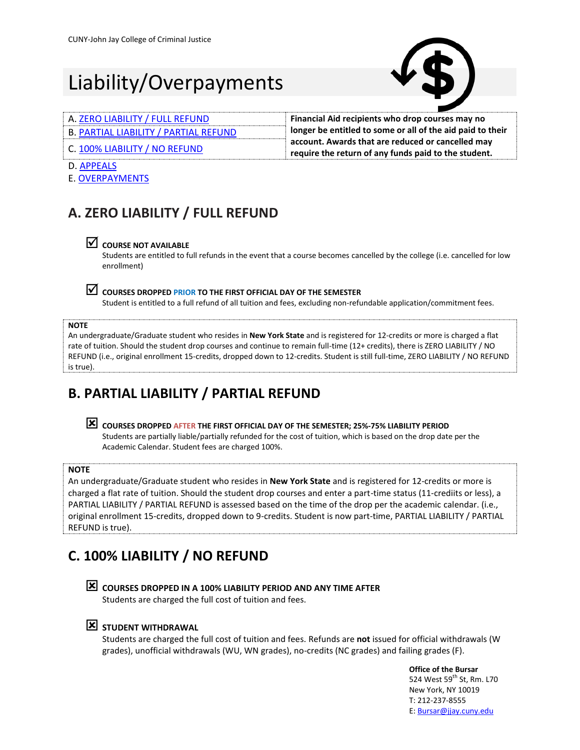# Liability/Overpayments



| A. ZERO LIABILITY / FULL REFUND              | Financial Aid recipients who drop courses may no           |
|----------------------------------------------|------------------------------------------------------------|
| <b>B. PARTIAL LIABILITY / PARTIAL REFUND</b> | longer be entitled to some or all of the aid paid to their |
| C. 100% LIABILITY / NO REFUND                | account. Awards that are reduced or cancelled may          |
|                                              | require the return of any funds paid to the student.       |

#### D. [APPEALS](#page-1-0)

E[. OVERPAYMENTS](#page-1-1)

## <span id="page-0-0"></span>**A. ZERO LIABILITY / FULL REFUND**

### **COURSE NOT AVAILABLE**

Students are entitled to full refunds in the event that a course becomes cancelled by the college (i.e. cancelled for low enrollment)

### **COURSES DROPPED PRIOR TO THE FIRST OFFICIAL DAY OF THE SEMESTER**

Student is entitled to a full refund of all tuition and fees, excluding non-refundable application/commitment fees.

#### **NOTE**

An undergraduate/Graduate student who resides in **New York State** and is registered for 12-credits or more is charged a flat rate of tuition. Should the student drop courses and continue to remain full-time (12+ credits), there is ZERO LIABILITY / NO REFUND (i.e., original enrollment 15-credits, dropped down to 12-credits. Student is still full-time, ZERO LIABILITY / NO REFUND is true).

# <span id="page-0-1"></span>**B. PARTIAL LIABILITY / PARTIAL REFUND**

 **COURSES DROPPED AFTER THE FIRST OFFICIAL DAY OF THE SEMESTER; 25%-75% LIABILITY PERIOD** Students are partially liable/partially refunded for the cost of tuition, which is based on the drop date per the Academic Calendar. Student fees are charged 100%.

#### **NOTE**

An undergraduate/Graduate student who resides in **New York State** and is registered for 12-credits or more is charged a flat rate of tuition. Should the student drop courses and enter a part-time status (11-crediits or less), a PARTIAL LIABILITY / PARTIAL REFUND is assessed based on the time of the drop per the academic calendar. (i.e., original enrollment 15-credits, dropped down to 9-credits. Student is now part-time, PARTIAL LIABILITY / PARTIAL REFUND is true).

# <span id="page-0-2"></span>**C. 100% LIABILITY / NO REFUND**



 **COURSES DROPPED IN A 100% LIABILITY PERIOD AND ANY TIME AFTER** Students are charged the full cost of tuition and fees.

### **STUDENT WITHDRAWAL**

Students are charged the full cost of tuition and fees. Refunds are **not** issued for official withdrawals (W grades), unofficial withdrawals (WU, WN grades), no-credits (NC grades) and failing grades (F).

> **Office of the Bursar** 524 West 59<sup>th</sup> St, Rm. L70 New York, NY 10019 T: 212-237-8555 E: **Bursar@jjay.cuny.edu**